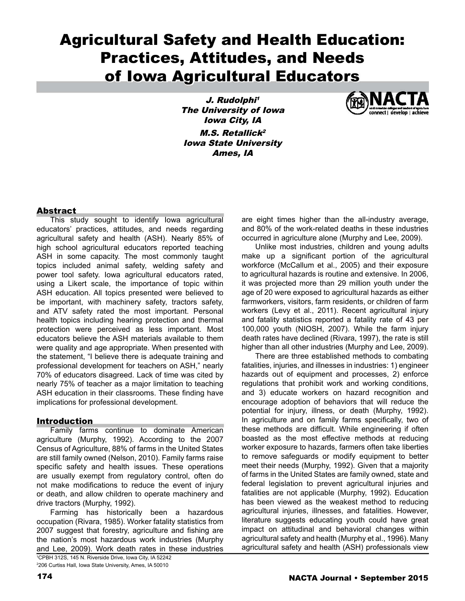# Agricultural Safety and Health Education: Practices, Attitudes, and Needs of Iowa Agricultural Educators

J. Rudolphi<sup>1</sup> The University of Iowa Iowa City, IA  $M.S.$  Retallick<sup>2</sup> Iowa State University Ames, IA



## **Abstract**

This study sought to identify Iowa agricultural educators' practices, attitudes, and needs regarding agricultural safety and health (ASH). Nearly 85% of high school agricultural educators reported teaching ASH in some capacity. The most commonly taught topics included animal safety, welding safety and power tool safety. Iowa agricultural educators rated, using a Likert scale, the importance of topic within ASH education. All topics presented were believed to be important, with machinery safety, tractors safety, and ATV safety rated the most important. Personal health topics including hearing protection and thermal protection were perceived as less important. Most educators believe the ASH materials available to them were quality and age appropriate. When presented with the statement, "I believe there is adequate training and professional development for teachers on ASH," nearly 70% of educators disagreed. Lack of time was cited by nearly 75% of teacher as a major limitation to teaching ASH education in their classrooms. These finding have implications for professional development.

## **Introduction**

Family farms continue to dominate American agriculture (Murphy, 1992). According to the 2007 Census of Agriculture, 88% of farms in the United States are still family owned (Nelson, 2010). Family farms raise specific safety and health issues. These operations are usually exempt from regulatory control, often do not make modifications to reduce the event of injury or death, and allow children to operate machinery and drive tractors (Murphy, 1992).

Farming has historically been a hazardous occupation (Rivara, 1985). Worker fatality statistics from 2007 suggest that forestry, agriculture and fishing are the nation's most hazardous work industries (Murphy and Lee, 2009). Work death rates in these industries are eight times higher than the all-industry average, and 80% of the work-related deaths in these industries occurred in agriculture alone (Murphy and Lee, 2009).

Unlike most industries, children and young adults make up a significant portion of the agricultural workforce (McCallum et al., 2005) and their exposure to agricultural hazards is routine and extensive. In 2006, it was projected more than 29 million youth under the age of 20 were exposed to agricultural hazards as either farmworkers, visitors, farm residents, or children of farm workers (Levy et al., 2011). Recent agricultural injury and fatality statistics reported a fatality rate of 43 per 100,000 youth (NIOSH, 2007). While the farm injury death rates have declined (Rivara, 1997), the rate is still higher than all other industries (Murphy and Lee, 2009).

There are three established methods to combating fatalities, injuries, and illnesses in industries: 1) engineer hazards out of equipment and processes, 2) enforce regulations that prohibit work and working conditions, and 3) educate workers on hazard recognition and encourage adoption of behaviors that will reduce the potential for injury, illness, or death (Murphy, 1992). In agriculture and on family farms specifically, two of these methods are difficult. While engineering if often boasted as the most effective methods at reducing worker exposure to hazards, farmers often take liberties to remove safeguards or modify equipment to better meet their needs (Murphy, 1992). Given that a majority of farms in the United States are family owned, state and federal legislation to prevent agricultural injuries and fatalities are not applicable (Murphy, 1992). Education has been viewed as the weakest method to reducing agricultural injuries, illnesses, and fatalities. However, literature suggests educating youth could have great impact on attitudinal and behavioral changes within agricultural safety and health (Murphy et al., 1996). Many agricultural safety and health (ASH) professionals view

<sup>1</sup> CPBH 312S, 145 N. Riverside Drive, Iowa City, IA 52242 2 206 Curtiss Hall, Iowa State University, Ames, IA 50010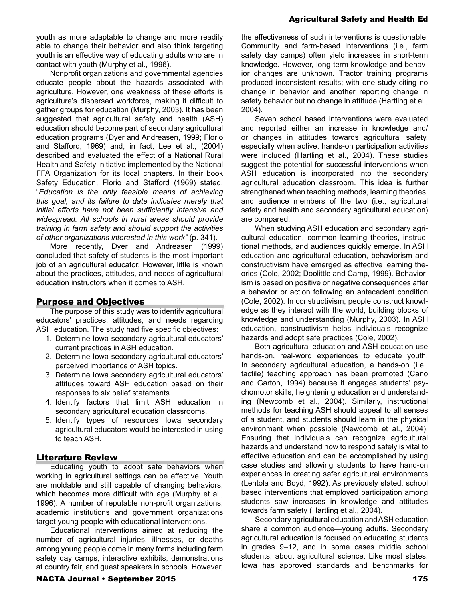youth as more adaptable to change and more readily able to change their behavior and also think targeting youth is an effective way of educating adults who are in contact with youth (Murphy et al., 1996).

Nonprofit organizations and governmental agencies educate people about the hazards associated with agriculture. However, one weakness of these efforts is agriculture's dispersed workforce, making it difficult to gather groups for education (Murphy, 2003). It has been suggested that agricultural safety and health (ASH) education should become part of secondary agricultural education programs (Dyer and Andreasen, 1999; Florio and Stafford, 1969) and, in fact, Lee et al., (2004) described and evaluated the effect of a National Rural Health and Safety Initiative implemented by the National FFA Organization for its local chapters. In their book Safety Education, Florio and Stafford (1969) stated, "*Education is the only feasible means of achieving this goal, and its failure to date indicates merely that initial efforts have not been sufficiently intensive and widespread. All schools in rural areas should provide training in farm safety and should support the activities of other organizations interested in this work"* (p. 341).

More recently, Dyer and Andreasen (1999) concluded that safety of students is the most important job of an agricultural educator. However, little is known about the practices, attitudes, and needs of agricultural education instructors when it comes to ASH.

### Purpose and Objectives

The purpose of this study was to identify agricultural educators' practices, attitudes, and needs regarding ASH education. The study had five specific objectives:

- 1. Determine Iowa secondary agricultural educators' current practices in ASH education.
- 2. Determine Iowa secondary agricultural educators' perceived importance of ASH topics.
- 3. Determine Iowa secondary agricultural educators' attitudes toward ASH education based on their responses to six belief statements.
- 4. Identify factors that limit ASH education in secondary agricultural education classrooms.
- 5. Identify types of resources Iowa secondary agricultural educators would be interested in using to teach ASH.

## Literature Review

Educating youth to adopt safe behaviors when working in agricultural settings can be effective. Youth are moldable and still capable of changing behaviors, which becomes more difficult with age (Murphy et al., 1996). A number of reputable non-profit organizations, academic institutions and government organizations target young people with educational interventions.

Educational interventions aimed at reducing the number of agricultural injuries, illnesses, or deaths among young people come in many forms including farm safety day camps, interactive exhibits, demonstrations at country fair, and guest speakers in schools. However,

the effectiveness of such interventions is questionable. Community and farm-based interventions (i.e., farm safety day camps) often yield increases in short-term knowledge. However, long-term knowledge and behavior changes are unknown. Tractor training programs produced inconsistent results; with one study citing no change in behavior and another reporting change in safety behavior but no change in attitude (Hartling et al., 2004).

Seven school based interventions were evaluated and reported either an increase in knowledge and/ or changes in attitudes towards agricultural safety, especially when active, hands-on participation activities were included (Hartling et al., 2004). These studies suggest the potential for successful interventions when ASH education is incorporated into the secondary agricultural education classroom. This idea is further strengthened when teaching methods, learning theories, and audience members of the two (i.e., agricultural safety and health and secondary agricultural education) are compared.

When studying ASH education and secondary agricultural education, common learning theories, instructional methods, and audiences quickly emerge. In ASH education and agricultural education, behaviorism and constructivism have emerged as effective learning theories (Cole, 2002; Doolittle and Camp, 1999). Behaviorism is based on positive or negative consequences after a behavior or action following an antecedent condition (Cole, 2002). In constructivism, people construct knowledge as they interact with the world, building blocks of knowledge and understanding (Murphy, 2003). In ASH education, constructivism helps individuals recognize hazards and adopt safe practices (Cole, 2002).

Both agricultural education and ASH education use hands-on, real-word experiences to educate youth. In secondary agricultural education, a hands-on (i.e., tactile) teaching approach has been promoted (Cano and Garton, 1994) because it engages students' psychomotor skills, heightening education and understanding (Newcomb et al., 2004). Similarly, instructional methods for teaching ASH should appeal to all senses of a student, and students should learn in the physical environment when possible (Newcomb et al., 2004). Ensuring that individuals can recognize agricultural hazards and understand how to respond safely is vital to effective education and can be accomplished by using case studies and allowing students to have hand-on experiences in creating safer agricultural environments (Lehtola and Boyd, 1992). As previously stated, school based interventions that employed participation among students saw increases in knowledge and attitudes towards farm safety (Hartling et al., 2004).

Secondary agricultural education and ASH education share a common audience—young adults. Secondary agricultural education is focused on educating students in grades 9–12, and in some cases middle school students, about agricultural science. Like most states, Iowa has approved standards and benchmarks for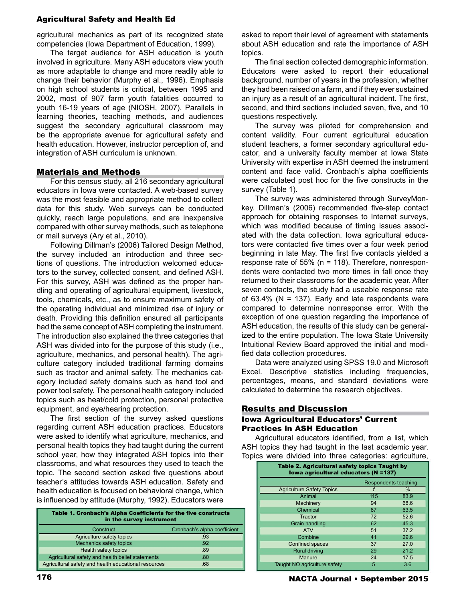agricultural mechanics as part of its recognized state competencies (Iowa Department of Education, 1999).

The target audience for ASH education is youth involved in agriculture. Many ASH educators view youth as more adaptable to change and more readily able to change their behavior (Murphy et al., 1996). Emphasis on high school students is critical, between 1995 and 2002, most of 907 farm youth fatalities occurred to youth 16-19 years of age (NIOSH, 2007). Parallels in learning theories, teaching methods, and audiences suggest the secondary agricultural classroom may be the appropriate avenue for agricultural safety and health education. However, instructor perception of, and integration of ASH curriculum is unknown.

#### Materials and Methods

For this census study, all 216 secondary agricultural educators in Iowa were contacted. A web-based survey was the most feasible and appropriate method to collect data for this study. Web surveys can be conducted quickly, reach large populations, and are inexpensive compared with other survey methods, such as telephone or mail surveys (Ary et al., 2010).

Following Dillman's (2006) Tailored Design Method, the survey included an introduction and three sections of questions. The introduction welcomed educators to the survey, collected consent, and defined ASH. For this survey, ASH was defined as the proper handling and operating of agricultural equipment, livestock, tools, chemicals, etc., as to ensure maximum safety of the operating individual and minimized rise of injury or death. Providing this definition ensured all participants had the same concept of ASH completing the instrument. The introduction also explained the three categories that ASH was divided into for the purpose of this study (i.e., agriculture, mechanics, and personal health). The agriculture category included traditional farming domains such as tractor and animal safety. The mechanics category included safety domains such as hand tool and power tool safety. The personal health category included topics such as heat/cold protection, personal protective equipment, and eye/hearing protection.

The first section of the survey asked questions regarding current ASH education practices. Educators were asked to identify what agriculture, mechanics, and personal health topics they had taught during the current school year, how they integrated ASH topics into their classrooms, and what resources they used to teach the topic. The second section asked five questions about teacher's attitudes towards ASH education. Safety and health education is focused on behavioral change, which is influenced by attitude (Murphy, 1992). Educators were

| Table 1. Cronbach's Alpha Coefficients for the five constructs<br>in the survey instrument |                              |  |  |  |  |
|--------------------------------------------------------------------------------------------|------------------------------|--|--|--|--|
| Construct                                                                                  | Cronbach's alpha coefficient |  |  |  |  |
| Agriculture safety topics                                                                  | .93                          |  |  |  |  |
| Mechanics safety topics                                                                    | .92                          |  |  |  |  |
| Health safety topics                                                                       | .89                          |  |  |  |  |
| Agricultural safety and health belief statements                                           | .80                          |  |  |  |  |
| Agricultural safety and health educational resources                                       | .68                          |  |  |  |  |
|                                                                                            |                              |  |  |  |  |

asked to report their level of agreement with statements about ASH education and rate the importance of ASH topics.

The final section collected demographic information. Educators were asked to report their educational background, number of years in the profession, whether they had been raised on a farm, and if they ever sustained an injury as a result of an agricultural incident. The first, second, and third sections included seven, five, and 10 questions respectively.

The survey was piloted for comprehension and content validity. Four current agricultural education student teachers, a former secondary agricultural educator, and a university faculty member at Iowa State University with expertise in ASH deemed the instrument content and face valid. Cronbach's alpha coefficients were calculated post hoc for the five constructs in the survey (Table 1).

The survey was administered through SurveyMonkey. Dillman's (2006) recommended five-step contact approach for obtaining responses to Internet surveys, which was modified because of timing issues associated with the data collection. Iowa agricultural educators were contacted five times over a four week period beginning in late May. The first five contacts yielded a response rate of 55% (n = 118). Therefore, nonrespondents were contacted two more times in fall once they returned to their classrooms for the academic year. After seven contacts, the study had a useable response rate of 63.4% ( $N = 137$ ). Early and late respondents were compared to determine nonresponse error. With the exception of one question regarding the importance of ASH education, the results of this study can be generalized to the entire population. The Iowa State University Intuitional Review Board approved the initial and modified data collection procedures.

Data were analyzed using SPSS 19.0 and Microsoft Excel. Descriptive statistics including frequencies, percentages, means, and standard deviations were calculated to determine the research objectives.

#### Results and Discussion

#### Iowa Agricultural Educators' Current Practices in ASH Education

Agricultural educators identified, from a list, which ASH topics they had taught in the last academic year. Topics were divided into three categories: agriculture,

| Table 2. Agricultural safety topics Taught by<br>Iowa agricultural educators (N =137) |     |                      |  |  |  |  |
|---------------------------------------------------------------------------------------|-----|----------------------|--|--|--|--|
|                                                                                       |     | Respondents teaching |  |  |  |  |
| <b>Agriculture Safety Topics</b>                                                      |     | %                    |  |  |  |  |
| Animal                                                                                | 115 | 83.9                 |  |  |  |  |
| Machinery                                                                             | 94  | 68.6                 |  |  |  |  |
| Chemical                                                                              | 87  | 63.5                 |  |  |  |  |
| Tractor                                                                               | 72  | 52.6                 |  |  |  |  |
| <b>Grain handling</b>                                                                 | 62  | 45.3                 |  |  |  |  |
| <b>ATV</b>                                                                            | 51  | 37.2                 |  |  |  |  |
| Combine                                                                               | 41  | 29.6                 |  |  |  |  |
| Confined spaces                                                                       | 37  | 27.0                 |  |  |  |  |
| <b>Rural driving</b>                                                                  | 29  | 21.2                 |  |  |  |  |
| Manure                                                                                | 24  | 17.5                 |  |  |  |  |
| Taught NO agriculture safety                                                          | 5   | 3.6                  |  |  |  |  |

176 NACTA Journal • September 2015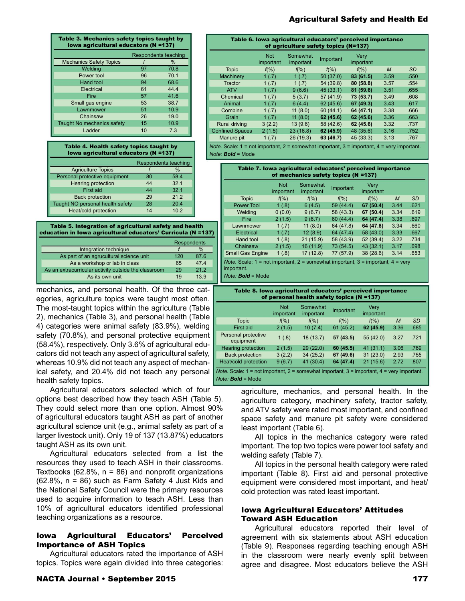| Table 3. Mechanics safety topics taught by<br>Iowa agricultural educators (N =137) |    |                      |  |  |  |
|------------------------------------------------------------------------------------|----|----------------------|--|--|--|
|                                                                                    |    | Respondents teaching |  |  |  |
| <b>Mechanics Safety Topics</b>                                                     |    | $\%$                 |  |  |  |
| Welding                                                                            | 97 | 70.8                 |  |  |  |
| Power tool                                                                         | 96 | 70.1                 |  |  |  |
| Hand tool                                                                          | 94 | 68.6                 |  |  |  |
| Electrical                                                                         | 61 | 44.4                 |  |  |  |
| Fire                                                                               | 57 | 41.6                 |  |  |  |
| Small gas engine                                                                   | 53 | 38.7                 |  |  |  |
| Lawnmower                                                                          | 51 | 10.9                 |  |  |  |
| Chainsaw                                                                           | 26 | 19.0                 |  |  |  |
| Taught No mechanics safety                                                         | 15 | 10.9                 |  |  |  |
| Ladder                                                                             | 10 | 7.3                  |  |  |  |
|                                                                                    |    |                      |  |  |  |

Table 4. Health safety topics taught by Iowa agricultural educators (N =137)

|                                  | Respondents teaching |      |  |
|----------------------------------|----------------------|------|--|
| <b>Agriculture Topics</b>        |                      | %    |  |
| Personal protective equipment    | 80                   | 58.4 |  |
| <b>Hearing protection</b>        | 44                   | 32.1 |  |
| First aid                        | 44                   | 32.1 |  |
| <b>Back protection</b>           | 29                   | 212  |  |
| Taught NO personal health safety | 28                   | 204  |  |
| Heat/cold protection             | 14                   | 10.2 |  |

Table 5. Integration of agricultural safety and health education in Iowa agricultural educators' Curricula (N =137)

|                                                      |     | <b>Respondents</b> |
|------------------------------------------------------|-----|--------------------|
| Integration technique                                |     | $\%$               |
| As part of an agrucultural science unit              | 120 | 87.6               |
| As a workshop or lab in class                        | 65  | 47.4               |
| As an extracurricular activity outside the classroom | 29  | 21.2               |
| As its own unit                                      | 19  | 13.9               |

mechanics, and personal health. Of the three categories, agriculture topics were taught most often. The most-taught topics within the agriculture (Table 2), mechanics (Table 3), and personal health (Table 4) categories were animal safety (83.9%), welding safety (70.8%), and personal protective equipment (58.4%), respectively. Only 3.6% of agricultural educators did not teach any aspect of agricultural safety, whereas 10.9% did not teach any aspect of mechanical safety, and 20.4% did not teach any personal health safety topics.

Agricultural educators selected which of four options best described how they teach ASH (Table 5). They could select more than one option. Almost 90% of agricultural educators taught ASH as part of another agricultural science unit (e.g., animal safety as part of a larger livestock unit). Only 19 of 137 (13.87%) educators taught ASH as its own unit.

Agricultural educators selected from a list the resources they used to teach ASH in their classrooms. Textbooks (62.8%,  $n = 86$ ) and nonprofit organizations  $(62.8\% , n = 86)$  such as Farm Safety 4 Just Kids and the National Safety Council were the primary resources used to acquire information to teach ASH. Less than 10% of agricultural educators identified professional teaching organizations as a resource.

## Iowa Agricultural Educators' Perceived Importance of ASH Topics

Agricultural educators rated the importance of ASH topics. Topics were again divided into three categories:

| Table 6. Iowa agricultural educators' perceived importance<br>of agriculture safety topics (N=137)                                      |                         |                       |           |                   |                |           |  |
|-----------------------------------------------------------------------------------------------------------------------------------------|-------------------------|-----------------------|-----------|-------------------|----------------|-----------|--|
|                                                                                                                                         | <b>Not</b><br>important | Somewhat<br>important | Important | Verv<br>important |                |           |  |
| <b>Topic</b>                                                                                                                            | $f(\%)$                 | $f(\%)$               | $f(\%)$   | $f(\%)$           | $\overline{M}$ | <b>SD</b> |  |
| Machinery                                                                                                                               | 1(.7)                   | 1(.7)                 | 50(37.0)  | 83 (61.5)         | 3.59           | .550      |  |
| Tractor                                                                                                                                 | 1(.7)                   | 1(.7)                 | 54 (39.8) | 80 (58.8)         | 3.57           | .554      |  |
| <b>ATV</b>                                                                                                                              | 1(.7)                   | 9(6.6)                | 45(33.1)  | 81 (59.6)         | 3.51           | .655      |  |
| Chemical                                                                                                                                | 1(.7)                   | 5(3.7)                | 57(41.9)  | 73 (53.7)         | 3.49           | .608      |  |
| Animal                                                                                                                                  | 1(.7)                   | 6(4.4)                | 62(45.6)  | 67 (49.3)         | 3.43           | .617      |  |
| Combine                                                                                                                                 | 1(.7)                   | 11(8.0)               | 60(44.1)  | 64 (47.1)         | 3.38           | .666      |  |
| Grain                                                                                                                                   | 1(.7)                   | 11(8.0)               | 62 (45.6) | 62 (45.6)         | 3.36           | .663      |  |
| <b>Rural driving</b>                                                                                                                    | 3(2.2)                  | 13(9.6)               | 58 (42.6) | 62 (45.6)         | 3.32           | .737      |  |
| <b>Confined Spaces</b>                                                                                                                  | 2(1.5)                  | 23(16.8)              | 62 (45.9) | 48 (35.6)         | 3.16           | .752      |  |
| Manure pit                                                                                                                              | 1(.7)                   | 26(19.3)              | 63 (46.7) | 45 (33.3)         | 3.13           | .767      |  |
| <i>Note.</i> Scale: $1 = not$ important, $2 =$ somewhat important, $3 =$ important, $4 =$ very important.<br>$Note:$ <b>Bold</b> = Mode |                         |                       |           |                   |                |           |  |

|                                                                                                                                               | <b>Not</b><br>important | Somewhat<br>important | Important | Very<br>important |                             |           |
|-----------------------------------------------------------------------------------------------------------------------------------------------|-------------------------|-----------------------|-----------|-------------------|-----------------------------|-----------|
| <b>Topic</b>                                                                                                                                  | $f(\%)$                 | $f(\%)$               | $f(\% )$  | $f(\%)$           | $\mathcal{M}_{\mathcal{A}}$ | <b>SD</b> |
| <b>Power Tool</b>                                                                                                                             | 1(.8)                   | 6(4.5)                | 59(44.4)  | 67 (50.4)         | 3.44                        | .621      |
| Welding                                                                                                                                       | 0(0.0)                  | 9(6.7)                | 58 (43.3) | 67 (50.4)         | 3.34                        | .619      |
| Fire                                                                                                                                          | 2(1.5)                  | 9(6.7)                | 60(44.4)  | 64 (47.4)         | 3.38                        | .697      |
| Lawnmower                                                                                                                                     | 1(.7)                   | 11(8.0)               | 64 (47.8) | 64 (47.8)         | 3.34                        | .660      |
| Electrical                                                                                                                                    | 1(.7)                   | 12(8.9)               | 64 (47.4) | 58 (43.0)         | 3.33                        | .667      |
| Hand tool                                                                                                                                     | 1(.8)                   | 21(15.9)              | 58 (43.9) | 52(39.4)          | 3.22                        | .734      |
| Chainsaw                                                                                                                                      | 2(1.5)                  | 16(11.9)              | 73 (54.5) | 43(32.1)          | 3.17                        | .698      |
| <b>Small Gas Engine</b>                                                                                                                       | 1(.8)                   | 17(12.8)              | 77 (57.9) | 38(28.6)          | 3.14                        | .653      |
| <i>Note.</i> Scale: $1 = not important$ , $2 = somewhat important$ , $3 = important$ , $4 = very$<br>important.<br>$Note:$ <b>Bold</b> = Mode |                         |                       |           |                   |                             |           |

| Table 8. Iowa agricultural educators' perceived importance<br>of personal health safety topics (N =137)                                   |                         |                       |           |                   |      |           |  |
|-------------------------------------------------------------------------------------------------------------------------------------------|-------------------------|-----------------------|-----------|-------------------|------|-----------|--|
|                                                                                                                                           | <b>Not</b><br>important | Somewhat<br>important | Important | Verv<br>important |      |           |  |
| <b>Topic</b>                                                                                                                              | $f(\%)$                 | $f(\%)$               | $f(\%)$   | $f(\%)$           | M    | <b>SD</b> |  |
| First aid                                                                                                                                 | 2(1.5)                  | 10(7.4)               | 61(45.2)  | 62 (45.9)         | 3.36 | .685      |  |
| Personal protective<br>equipment                                                                                                          | 1(.8)                   | 18(13.7)              | 57 (43.5) | 55(42.0)          | 3.27 | .721      |  |
| <b>Hearing protection</b>                                                                                                                 | 2(1.5)                  | 29(22.0)              | 60(45.5)  | 41(31.1)          | 3.06 | .769      |  |
| <b>Back protection</b>                                                                                                                    | 3(2.2)                  | 34(25.2)              | 67 (49.6) | 31(23.0)          | 2.93 | .755      |  |
| Heat/cold protection                                                                                                                      | 9(6.7)                  | 41 (30.4)             | 64 (47.4) | 21(15.6)          | 2.72 | .807      |  |
| <i>Note.</i> Scale: $1 = \text{not important}$ , $2 = \text{somewhat important}$ , $3 = \text{important}$ , $4 = \text{very important}$ . |                         |                       |           |                   |      |           |  |
| $Note:$ <b>Bold</b> = Mode                                                                                                                |                         |                       |           |                   |      |           |  |

agriculture, mechanics, and personal health. In the agriculture category, machinery safety, tractor safety, and ATV safety were rated most important, and confined space safety and manure pit safety were considered least important (Table 6).

All topics in the mechanics category were rated important. The top two topics were power tool safety and welding safety (Table 7).

All topics in the personal health category were rated important (Table 8). First aid and personal protective equipment were considered most important, and heat/ cold protection was rated least important.

#### Iowa Agricultural Educators' Attitudes Toward ASH Education

Agricultural educators reported their level of agreement with six statements about ASH education (Table 9). Responses regarding teaching enough ASH in the classroom were nearly evenly split between agree and disagree. Most educators believe the ASH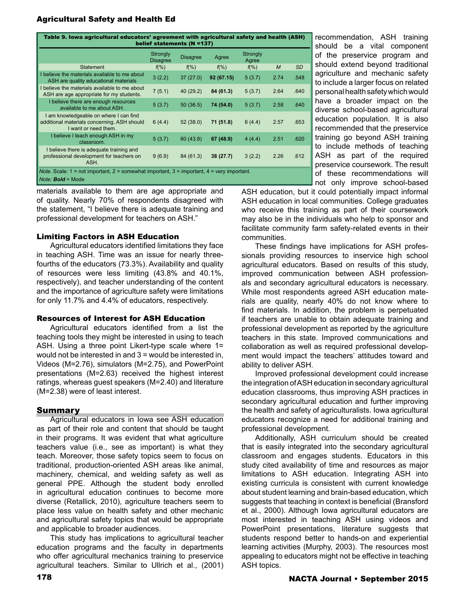| Table 9. Iowa agricultural educators' agreement with agricultural safety and health (ASH)<br>belief statements (N =137)                          |                                    |                 |            |                   |                |           |  |
|--------------------------------------------------------------------------------------------------------------------------------------------------|------------------------------------|-----------------|------------|-------------------|----------------|-----------|--|
|                                                                                                                                                  | <b>Strongly</b><br><b>Disagree</b> | <b>Disagree</b> | Agree      | Strongly<br>Agree |                |           |  |
| <b>Statement</b>                                                                                                                                 | $f(\% )$                           | $f(\% )$        | $f(\%)$    | $f(\% )$          | $\overline{M}$ | <b>SD</b> |  |
| believe the materials available to me about<br>ASH are quality educational materials                                                             | 3(2.2)                             | 37(27.0)        | 92 (67.15) | 5(3.7)            | 2.74           | .548      |  |
| believe the materials available to me about<br>ASH are age appropriate for my students.                                                          | 7(5.1)                             | 40 (29.2)       | 84 (61.3)  | 5(3.7)            | 2.64           | .640      |  |
| I believe there are enough resources<br>available to me about ASH.                                                                               | 5(3.7)                             | 50(36.5)        | 74 (54.0)  | 5(3.7)            | 2.58           | .640      |  |
| I am knowledgeable on where I can find<br>additional materials concerning. ASH should<br>I want or need them.                                    | 6(4.4)                             | 52(38.0)        | 71 (51.8)  | 6(4.4)            | 2.57           | .653      |  |
| I believe I teach enough ASH in my<br>classroom.                                                                                                 | 5(3.7)                             | 60(43.8)        | 67 (48.9)  | 4(4.4)            | 2.51           | .620      |  |
| I believe there is adequate training and<br>professional development for teachers on<br>ASH.                                                     | 9(6.9)                             | 84 (61.3)       | 38(27.7)   | 3(2.2)            | 2.26           | .612      |  |
| <i>Note.</i> Scale: $1 = not important$ , $2 = somewhat important$ , $3 = important$ , $4 = very important$ .<br><i>Note:</i> <b>Bold</b> = Mode |                                    |                 |            |                   |                |           |  |

materials available to them are age appropriate and of quality. Nearly 70% of respondents disagreed with the statement, "I believe there is adequate training and professional development for teachers on ASH."

## Limiting Factors in ASH Education

Agricultural educators identified limitations they face in teaching ASH. Time was an issue for nearly threefourths of the educators (73.3%). Availability and quality of resources were less limiting (43.8% and 40.1%, respectively), and teacher understanding of the content and the importance of agriculture safety were limitations for only 11.7% and 4.4% of educators, respectively.

#### Resources of Interest for ASH Education

Agricultural educators identified from a list the teaching tools they might be interested in using to teach ASH. Using a three point Likert-type scale where 1= would not be interested in and 3 = would be interested in, Videos (M=2.76), simulators (M=2.75), and PowerPoint presentations (M=2.63) received the highest interest ratings, whereas guest speakers (M=2.40) and literature (M=2.38) were of least interest.

## **Summary**

Agricultural educators in Iowa see ASH education as part of their role and content that should be taught in their programs. It was evident that what agriculture teachers value (i.e., see as important) is what they teach. Moreover, those safety topics seem to focus on traditional, production-oriented ASH areas like animal, machinery, chemical, and welding safety as well as general PPE. Although the student body enrolled in agricultural education continues to become more diverse (Retallick, 2010), agriculture teachers seem to place less value on health safety and other mechanic and agricultural safety topics that would be appropriate and applicable to broader audiences.

This study has implications to agricultural teacher education programs and the faculty in departments who offer agricultural mechanics training to preservice agricultural teachers. Similar to Ullrich et al., (2001)

recommendation, ASH training should be a vital component of the preservice program and should extend beyond traditional agriculture and mechanic safety to include a larger focus on related personal health safety which would have a broader impact on the diverse school-based agricultural education population. It is also recommended that the preservice training go beyond ASH training to include methods of teaching ASH as part of the required preservice coursework. The result of these recommendations will not only improve school-based

ASH education, but it could potentially impact informal ASH education in local communities. College graduates who receive this training as part of their coursework may also be in the individuals who help to sponsor and facilitate community farm safety-related events in their communities.

These findings have implications for ASH professionals providing resources to inservice high school agricultural educators. Based on results of this study, improved communication between ASH professionals and secondary agricultural educators is necessary. While most respondents agreed ASH education materials are quality, nearly 40% do not know where to find materials. In addition, the problem is perpetuated if teachers are unable to obtain adequate training and professional development as reported by the agriculture teachers in this state. Improved communications and collaboration as well as required professional development would impact the teachers' attitudes toward and ability to deliver ASH.

Improved professional development could increase the integration of ASH education in secondary agricultural education classrooms, thus improving ASH practices in secondary agricultural education and further improving the health and safety of agriculturalists. Iowa agricultural educators recognize a need for additional training and professional development.

Additionally, ASH curriculum should be created that is easily integrated into the secondary agricultural classroom and engages students. Educators in this study cited availability of time and resources as major limitations to ASH education. Integrating ASH into existing curricula is consistent with current knowledge about student learning and brain-based education, which suggests that teaching in context is beneficial (Bransford et al., 2000). Although Iowa agricultural educators are most interested in teaching ASH using videos and PowerPoint presentations, literature suggests that students respond better to hands-on and experiential learning activities (Murphy, 2003). The resources most appealing to educators might not be effective in teaching ASH topics.